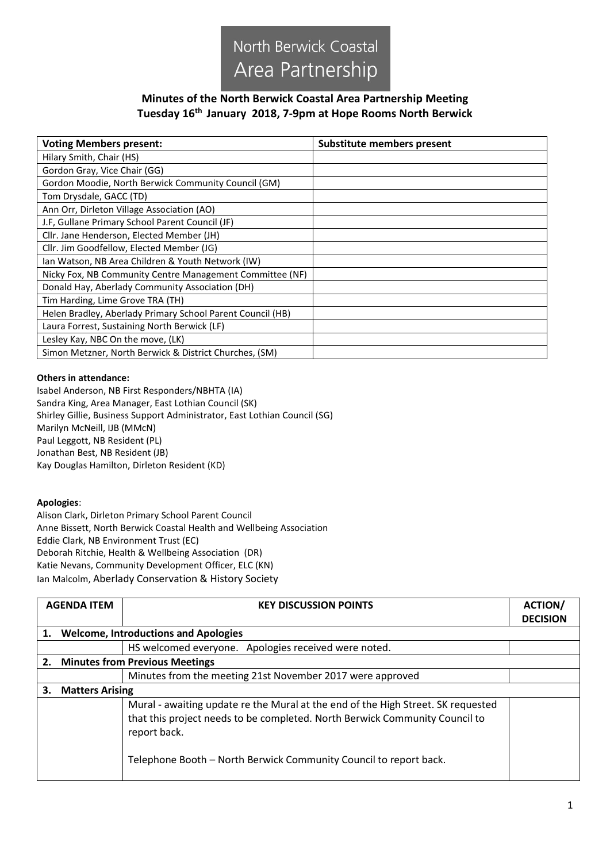

## **Minutes of the North Berwick Coastal Area Partnership Meeting Tuesday 16th January 2018, 7-9pm at Hope Rooms North Berwick**

| <b>Voting Members present:</b>                             | <b>Substitute members present</b> |
|------------------------------------------------------------|-----------------------------------|
| Hilary Smith, Chair (HS)                                   |                                   |
| Gordon Gray, Vice Chair (GG)                               |                                   |
| Gordon Moodie, North Berwick Community Council (GM)        |                                   |
| Tom Drysdale, GACC (TD)                                    |                                   |
| Ann Orr, Dirleton Village Association (AO)                 |                                   |
| J.F, Gullane Primary School Parent Council (JF)            |                                   |
| Cllr. Jane Henderson, Elected Member (JH)                  |                                   |
| Cllr. Jim Goodfellow, Elected Member (JG)                  |                                   |
| Ian Watson, NB Area Children & Youth Network (IW)          |                                   |
| Nicky Fox, NB Community Centre Management Committee (NF)   |                                   |
| Donald Hay, Aberlady Community Association (DH)            |                                   |
| Tim Harding, Lime Grove TRA (TH)                           |                                   |
| Helen Bradley, Aberlady Primary School Parent Council (HB) |                                   |
| Laura Forrest, Sustaining North Berwick (LF)               |                                   |
| Lesley Kay, NBC On the move, (LK)                          |                                   |
| Simon Metzner, North Berwick & District Churches, (SM)     |                                   |

## **Others in attendance:**

Isabel Anderson, NB First Responders/NBHTA (IA) Sandra King, Area Manager, East Lothian Council (SK) Shirley Gillie, Business Support Administrator, East Lothian Council (SG) Marilyn McNeill, IJB (MMcN) Paul Leggott, NB Resident (PL) Jonathan Best, NB Resident (JB) Kay Douglas Hamilton, Dirleton Resident (KD)

## **Apologies**:

Alison Clark, Dirleton Primary School Parent Council Anne Bissett, North Berwick Coastal Health and Wellbeing Association Eddie Clark, NB Environment Trust (EC) Deborah Ritchie, Health & Wellbeing Association (DR) Katie Nevans, Community Development Officer, ELC (KN) Ian Malcolm, Aberlady Conservation & History Society

|                                             | <b>AGENDA ITEM</b>     | <b>KEY DISCUSSION POINTS</b>                                                                | <b>ACTION/</b>  |
|---------------------------------------------|------------------------|---------------------------------------------------------------------------------------------|-----------------|
| 1.                                          |                        | <b>Welcome, Introductions and Apologies</b>                                                 | <b>DECISION</b> |
|                                             |                        |                                                                                             |                 |
|                                             |                        | HS welcomed everyone. Apologies received were noted.                                        |                 |
| <b>Minutes from Previous Meetings</b><br>2. |                        |                                                                                             |                 |
|                                             |                        | Minutes from the meeting 21st November 2017 were approved                                   |                 |
| 3.                                          | <b>Matters Arising</b> |                                                                                             |                 |
|                                             |                        | Mural - awaiting update re the Mural at the end of the High Street. SK requested            |                 |
|                                             |                        | that this project needs to be completed. North Berwick Community Council to<br>report back. |                 |
|                                             |                        | Telephone Booth - North Berwick Community Council to report back.                           |                 |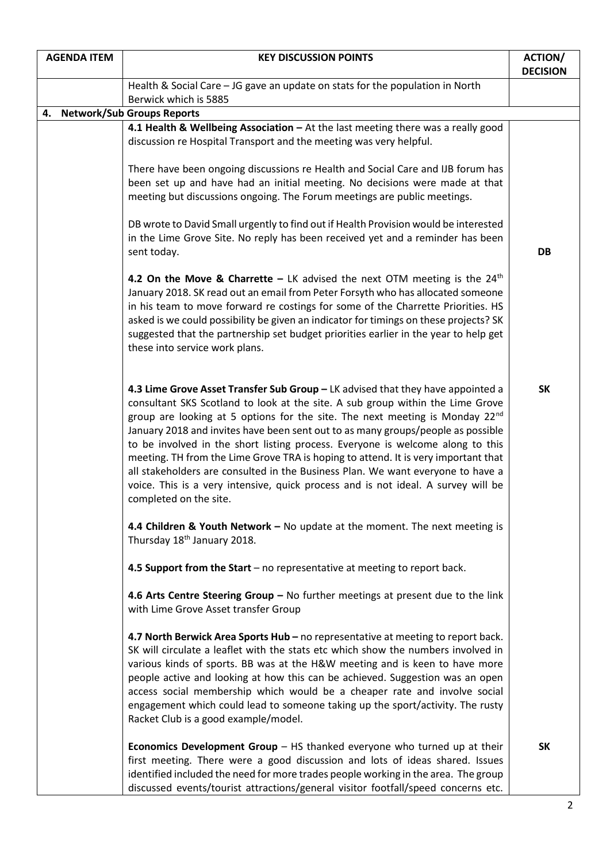| <b>AGENDA ITEM</b> | <b>KEY DISCUSSION POINTS</b>                                                                                                                                                                                                                                                                                                                                                                                                                                                                                                                                                                                                                                                                                                | <b>ACTION/</b><br><b>DECISION</b> |
|--------------------|-----------------------------------------------------------------------------------------------------------------------------------------------------------------------------------------------------------------------------------------------------------------------------------------------------------------------------------------------------------------------------------------------------------------------------------------------------------------------------------------------------------------------------------------------------------------------------------------------------------------------------------------------------------------------------------------------------------------------------|-----------------------------------|
|                    | Health & Social Care - JG gave an update on stats for the population in North<br>Berwick which is 5885                                                                                                                                                                                                                                                                                                                                                                                                                                                                                                                                                                                                                      |                                   |
| 4.                 | <b>Network/Sub Groups Reports</b>                                                                                                                                                                                                                                                                                                                                                                                                                                                                                                                                                                                                                                                                                           |                                   |
|                    | 4.1 Health & Wellbeing Association - At the last meeting there was a really good                                                                                                                                                                                                                                                                                                                                                                                                                                                                                                                                                                                                                                            |                                   |
|                    | discussion re Hospital Transport and the meeting was very helpful.                                                                                                                                                                                                                                                                                                                                                                                                                                                                                                                                                                                                                                                          |                                   |
|                    | There have been ongoing discussions re Health and Social Care and IJB forum has<br>been set up and have had an initial meeting. No decisions were made at that<br>meeting but discussions ongoing. The Forum meetings are public meetings.                                                                                                                                                                                                                                                                                                                                                                                                                                                                                  |                                   |
|                    | DB wrote to David Small urgently to find out if Health Provision would be interested<br>in the Lime Grove Site. No reply has been received yet and a reminder has been<br>sent today.                                                                                                                                                                                                                                                                                                                                                                                                                                                                                                                                       | DB                                |
|                    | 4.2 On the Move & Charrette - LK advised the next OTM meeting is the $24th$<br>January 2018. SK read out an email from Peter Forsyth who has allocated someone<br>in his team to move forward re costings for some of the Charrette Priorities. HS<br>asked is we could possibility be given an indicator for timings on these projects? SK<br>suggested that the partnership set budget priorities earlier in the year to help get<br>these into service work plans.                                                                                                                                                                                                                                                       |                                   |
|                    | 4.3 Lime Grove Asset Transfer Sub Group - LK advised that they have appointed a<br>consultant SKS Scotland to look at the site. A sub group within the Lime Grove<br>group are looking at 5 options for the site. The next meeting is Monday 22 <sup>nd</sup><br>January 2018 and invites have been sent out to as many groups/people as possible<br>to be involved in the short listing process. Everyone is welcome along to this<br>meeting. TH from the Lime Grove TRA is hoping to attend. It is very important that<br>all stakeholders are consulted in the Business Plan. We want everyone to have a<br>voice. This is a very intensive, quick process and is not ideal. A survey will be<br>completed on the site. | <b>SK</b>                         |
|                    | 4.4 Children & Youth Network - No update at the moment. The next meeting is<br>Thursday 18 <sup>th</sup> January 2018.                                                                                                                                                                                                                                                                                                                                                                                                                                                                                                                                                                                                      |                                   |
|                    | 4.5 Support from the Start - no representative at meeting to report back.                                                                                                                                                                                                                                                                                                                                                                                                                                                                                                                                                                                                                                                   |                                   |
|                    | 4.6 Arts Centre Steering Group - No further meetings at present due to the link<br>with Lime Grove Asset transfer Group                                                                                                                                                                                                                                                                                                                                                                                                                                                                                                                                                                                                     |                                   |
|                    | 4.7 North Berwick Area Sports Hub – no representative at meeting to report back.<br>SK will circulate a leaflet with the stats etc which show the numbers involved in<br>various kinds of sports. BB was at the H&W meeting and is keen to have more<br>people active and looking at how this can be achieved. Suggestion was an open<br>access social membership which would be a cheaper rate and involve social<br>engagement which could lead to someone taking up the sport/activity. The rusty<br>Racket Club is a good example/model.                                                                                                                                                                                |                                   |
|                    | <b>Economics Development Group <math>-</math> HS thanked everyone who turned up at their</b><br>first meeting. There were a good discussion and lots of ideas shared. Issues<br>identified included the need for more trades people working in the area. The group<br>discussed events/tourist attractions/general visitor footfall/speed concerns etc.                                                                                                                                                                                                                                                                                                                                                                     | <b>SK</b>                         |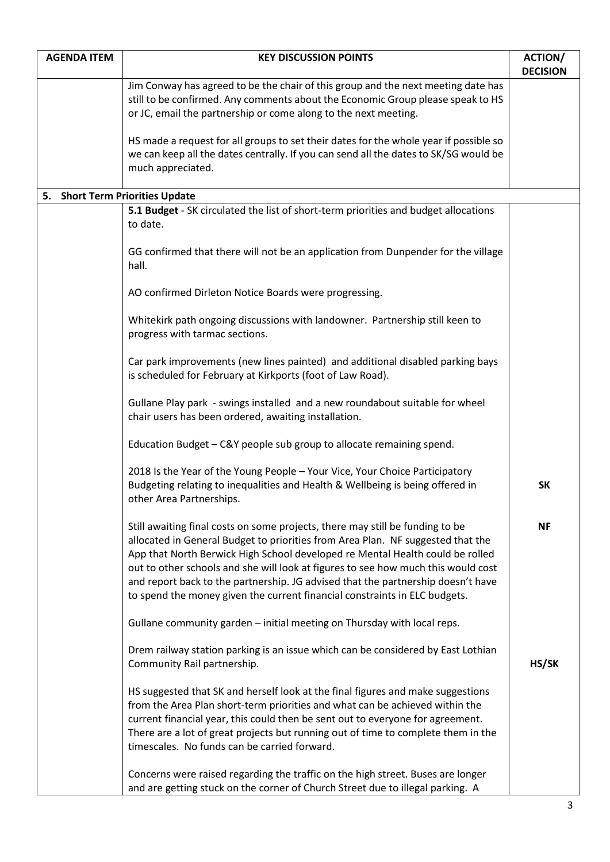| <b>AGENDA ITEM</b>              | <b>KEY DISCUSSION POINTS</b>                                                                                                                                                                                                                                                                                                                                                                                                                                                                             | <b>ACTION/</b>  |
|---------------------------------|----------------------------------------------------------------------------------------------------------------------------------------------------------------------------------------------------------------------------------------------------------------------------------------------------------------------------------------------------------------------------------------------------------------------------------------------------------------------------------------------------------|-----------------|
|                                 |                                                                                                                                                                                                                                                                                                                                                                                                                                                                                                          | <b>DECISION</b> |
|                                 | Jim Conway has agreed to be the chair of this group and the next meeting date has<br>still to be confirmed. Any comments about the Economic Group please speak to HS<br>or JC, email the partnership or come along to the next meeting.                                                                                                                                                                                                                                                                  |                 |
|                                 | HS made a request for all groups to set their dates for the whole year if possible so<br>we can keep all the dates centrally. If you can send all the dates to SK/SG would be<br>much appreciated.                                                                                                                                                                                                                                                                                                       |                 |
| 5. Short Term Priorities Update |                                                                                                                                                                                                                                                                                                                                                                                                                                                                                                          |                 |
|                                 | 5.1 Budget - SK circulated the list of short-term priorities and budget allocations<br>to date.                                                                                                                                                                                                                                                                                                                                                                                                          |                 |
|                                 | GG confirmed that there will not be an application from Dunpender for the village<br>hall.                                                                                                                                                                                                                                                                                                                                                                                                               |                 |
|                                 | AO confirmed Dirleton Notice Boards were progressing.                                                                                                                                                                                                                                                                                                                                                                                                                                                    |                 |
|                                 | Whitekirk path ongoing discussions with landowner. Partnership still keen to<br>progress with tarmac sections.                                                                                                                                                                                                                                                                                                                                                                                           |                 |
|                                 | Car park improvements (new lines painted) and additional disabled parking bays<br>is scheduled for February at Kirkports (foot of Law Road).                                                                                                                                                                                                                                                                                                                                                             |                 |
|                                 | Gullane Play park - swings installed and a new roundabout suitable for wheel<br>chair users has been ordered, awaiting installation.                                                                                                                                                                                                                                                                                                                                                                     |                 |
|                                 | Education Budget - C&Y people sub group to allocate remaining spend.                                                                                                                                                                                                                                                                                                                                                                                                                                     |                 |
|                                 | 2018 Is the Year of the Young People - Your Vice, Your Choice Participatory<br>Budgeting relating to inequalities and Health & Wellbeing is being offered in<br>other Area Partnerships.                                                                                                                                                                                                                                                                                                                 | <b>SK</b>       |
|                                 | Still awaiting final costs on some projects, there may still be funding to be<br>allocated in General Budget to priorities from Area Plan. NF suggested that the<br>App that North Berwick High School developed re Mental Health could be rolled<br>out to other schools and she will look at figures to see how much this would cost<br>and report back to the partnership. JG advised that the partnership doesn't have<br>to spend the money given the current financial constraints in ELC budgets. | <b>NF</b>       |
|                                 | Gullane community garden - initial meeting on Thursday with local reps.                                                                                                                                                                                                                                                                                                                                                                                                                                  |                 |
|                                 | Drem railway station parking is an issue which can be considered by East Lothian<br>Community Rail partnership.                                                                                                                                                                                                                                                                                                                                                                                          | HS/SK           |
|                                 | HS suggested that SK and herself look at the final figures and make suggestions<br>from the Area Plan short-term priorities and what can be achieved within the<br>current financial year, this could then be sent out to everyone for agreement.<br>There are a lot of great projects but running out of time to complete them in the<br>timescales. No funds can be carried forward.                                                                                                                   |                 |
|                                 | Concerns were raised regarding the traffic on the high street. Buses are longer<br>and are getting stuck on the corner of Church Street due to illegal parking. A                                                                                                                                                                                                                                                                                                                                        |                 |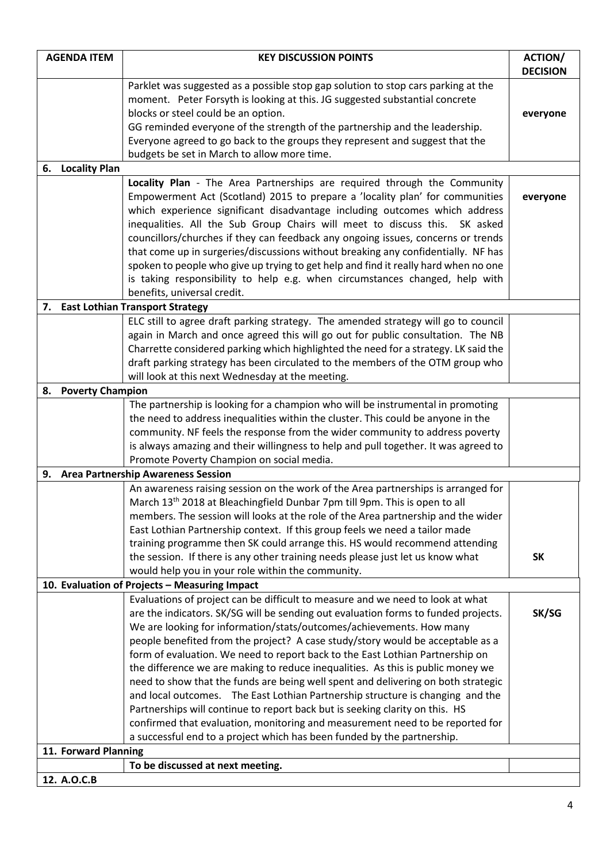| <b>DECISION</b><br>Parklet was suggested as a possible stop gap solution to stop cars parking at the<br>moment. Peter Forsyth is looking at this. JG suggested substantial concrete<br>blocks or steel could be an option.<br>everyone<br>GG reminded everyone of the strength of the partnership and the leadership.<br>Everyone agreed to go back to the groups they represent and suggest that the<br>budgets be set in March to allow more time.<br>6. Locality Plan<br>Locality Plan - The Area Partnerships are required through the Community<br>Empowerment Act (Scotland) 2015 to prepare a 'locality plan' for communities<br>everyone<br>which experience significant disadvantage including outcomes which address<br>inequalities. All the Sub Group Chairs will meet to discuss this. SK asked<br>councillors/churches if they can feedback any ongoing issues, concerns or trends<br>that come up in surgeries/discussions without breaking any confidentially. NF has<br>spoken to people who give up trying to get help and find it really hard when no one<br>is taking responsibility to help e.g. when circumstances changed, help with<br>benefits, universal credit.<br><b>East Lothian Transport Strategy</b><br>7.<br>ELC still to agree draft parking strategy. The amended strategy will go to council<br>again in March and once agreed this will go out for public consultation. The NB<br>Charrette considered parking which highlighted the need for a strategy. LK said the |  |  |  |
|------------------------------------------------------------------------------------------------------------------------------------------------------------------------------------------------------------------------------------------------------------------------------------------------------------------------------------------------------------------------------------------------------------------------------------------------------------------------------------------------------------------------------------------------------------------------------------------------------------------------------------------------------------------------------------------------------------------------------------------------------------------------------------------------------------------------------------------------------------------------------------------------------------------------------------------------------------------------------------------------------------------------------------------------------------------------------------------------------------------------------------------------------------------------------------------------------------------------------------------------------------------------------------------------------------------------------------------------------------------------------------------------------------------------------------------------------------------------------------------------------------|--|--|--|
|                                                                                                                                                                                                                                                                                                                                                                                                                                                                                                                                                                                                                                                                                                                                                                                                                                                                                                                                                                                                                                                                                                                                                                                                                                                                                                                                                                                                                                                                                                            |  |  |  |
|                                                                                                                                                                                                                                                                                                                                                                                                                                                                                                                                                                                                                                                                                                                                                                                                                                                                                                                                                                                                                                                                                                                                                                                                                                                                                                                                                                                                                                                                                                            |  |  |  |
|                                                                                                                                                                                                                                                                                                                                                                                                                                                                                                                                                                                                                                                                                                                                                                                                                                                                                                                                                                                                                                                                                                                                                                                                                                                                                                                                                                                                                                                                                                            |  |  |  |
|                                                                                                                                                                                                                                                                                                                                                                                                                                                                                                                                                                                                                                                                                                                                                                                                                                                                                                                                                                                                                                                                                                                                                                                                                                                                                                                                                                                                                                                                                                            |  |  |  |
|                                                                                                                                                                                                                                                                                                                                                                                                                                                                                                                                                                                                                                                                                                                                                                                                                                                                                                                                                                                                                                                                                                                                                                                                                                                                                                                                                                                                                                                                                                            |  |  |  |
|                                                                                                                                                                                                                                                                                                                                                                                                                                                                                                                                                                                                                                                                                                                                                                                                                                                                                                                                                                                                                                                                                                                                                                                                                                                                                                                                                                                                                                                                                                            |  |  |  |
|                                                                                                                                                                                                                                                                                                                                                                                                                                                                                                                                                                                                                                                                                                                                                                                                                                                                                                                                                                                                                                                                                                                                                                                                                                                                                                                                                                                                                                                                                                            |  |  |  |
|                                                                                                                                                                                                                                                                                                                                                                                                                                                                                                                                                                                                                                                                                                                                                                                                                                                                                                                                                                                                                                                                                                                                                                                                                                                                                                                                                                                                                                                                                                            |  |  |  |
|                                                                                                                                                                                                                                                                                                                                                                                                                                                                                                                                                                                                                                                                                                                                                                                                                                                                                                                                                                                                                                                                                                                                                                                                                                                                                                                                                                                                                                                                                                            |  |  |  |
|                                                                                                                                                                                                                                                                                                                                                                                                                                                                                                                                                                                                                                                                                                                                                                                                                                                                                                                                                                                                                                                                                                                                                                                                                                                                                                                                                                                                                                                                                                            |  |  |  |
|                                                                                                                                                                                                                                                                                                                                                                                                                                                                                                                                                                                                                                                                                                                                                                                                                                                                                                                                                                                                                                                                                                                                                                                                                                                                                                                                                                                                                                                                                                            |  |  |  |
|                                                                                                                                                                                                                                                                                                                                                                                                                                                                                                                                                                                                                                                                                                                                                                                                                                                                                                                                                                                                                                                                                                                                                                                                                                                                                                                                                                                                                                                                                                            |  |  |  |
|                                                                                                                                                                                                                                                                                                                                                                                                                                                                                                                                                                                                                                                                                                                                                                                                                                                                                                                                                                                                                                                                                                                                                                                                                                                                                                                                                                                                                                                                                                            |  |  |  |
|                                                                                                                                                                                                                                                                                                                                                                                                                                                                                                                                                                                                                                                                                                                                                                                                                                                                                                                                                                                                                                                                                                                                                                                                                                                                                                                                                                                                                                                                                                            |  |  |  |
|                                                                                                                                                                                                                                                                                                                                                                                                                                                                                                                                                                                                                                                                                                                                                                                                                                                                                                                                                                                                                                                                                                                                                                                                                                                                                                                                                                                                                                                                                                            |  |  |  |
|                                                                                                                                                                                                                                                                                                                                                                                                                                                                                                                                                                                                                                                                                                                                                                                                                                                                                                                                                                                                                                                                                                                                                                                                                                                                                                                                                                                                                                                                                                            |  |  |  |
|                                                                                                                                                                                                                                                                                                                                                                                                                                                                                                                                                                                                                                                                                                                                                                                                                                                                                                                                                                                                                                                                                                                                                                                                                                                                                                                                                                                                                                                                                                            |  |  |  |
|                                                                                                                                                                                                                                                                                                                                                                                                                                                                                                                                                                                                                                                                                                                                                                                                                                                                                                                                                                                                                                                                                                                                                                                                                                                                                                                                                                                                                                                                                                            |  |  |  |
|                                                                                                                                                                                                                                                                                                                                                                                                                                                                                                                                                                                                                                                                                                                                                                                                                                                                                                                                                                                                                                                                                                                                                                                                                                                                                                                                                                                                                                                                                                            |  |  |  |
|                                                                                                                                                                                                                                                                                                                                                                                                                                                                                                                                                                                                                                                                                                                                                                                                                                                                                                                                                                                                                                                                                                                                                                                                                                                                                                                                                                                                                                                                                                            |  |  |  |
| draft parking strategy has been circulated to the members of the OTM group who                                                                                                                                                                                                                                                                                                                                                                                                                                                                                                                                                                                                                                                                                                                                                                                                                                                                                                                                                                                                                                                                                                                                                                                                                                                                                                                                                                                                                             |  |  |  |
| will look at this next Wednesday at the meeting.                                                                                                                                                                                                                                                                                                                                                                                                                                                                                                                                                                                                                                                                                                                                                                                                                                                                                                                                                                                                                                                                                                                                                                                                                                                                                                                                                                                                                                                           |  |  |  |
| <b>Poverty Champion</b><br>8.                                                                                                                                                                                                                                                                                                                                                                                                                                                                                                                                                                                                                                                                                                                                                                                                                                                                                                                                                                                                                                                                                                                                                                                                                                                                                                                                                                                                                                                                              |  |  |  |
| The partnership is looking for a champion who will be instrumental in promoting<br>the need to address inequalities within the cluster. This could be anyone in the                                                                                                                                                                                                                                                                                                                                                                                                                                                                                                                                                                                                                                                                                                                                                                                                                                                                                                                                                                                                                                                                                                                                                                                                                                                                                                                                        |  |  |  |
| community. NF feels the response from the wider community to address poverty                                                                                                                                                                                                                                                                                                                                                                                                                                                                                                                                                                                                                                                                                                                                                                                                                                                                                                                                                                                                                                                                                                                                                                                                                                                                                                                                                                                                                               |  |  |  |
| is always amazing and their willingness to help and pull together. It was agreed to                                                                                                                                                                                                                                                                                                                                                                                                                                                                                                                                                                                                                                                                                                                                                                                                                                                                                                                                                                                                                                                                                                                                                                                                                                                                                                                                                                                                                        |  |  |  |
| Promote Poverty Champion on social media.                                                                                                                                                                                                                                                                                                                                                                                                                                                                                                                                                                                                                                                                                                                                                                                                                                                                                                                                                                                                                                                                                                                                                                                                                                                                                                                                                                                                                                                                  |  |  |  |
| 9. Area Partnership Awareness Session                                                                                                                                                                                                                                                                                                                                                                                                                                                                                                                                                                                                                                                                                                                                                                                                                                                                                                                                                                                                                                                                                                                                                                                                                                                                                                                                                                                                                                                                      |  |  |  |
| An awareness raising session on the work of the Area partnerships is arranged for                                                                                                                                                                                                                                                                                                                                                                                                                                                                                                                                                                                                                                                                                                                                                                                                                                                                                                                                                                                                                                                                                                                                                                                                                                                                                                                                                                                                                          |  |  |  |
| March 13 <sup>th</sup> 2018 at Bleachingfield Dunbar 7pm till 9pm. This is open to all                                                                                                                                                                                                                                                                                                                                                                                                                                                                                                                                                                                                                                                                                                                                                                                                                                                                                                                                                                                                                                                                                                                                                                                                                                                                                                                                                                                                                     |  |  |  |
| members. The session will looks at the role of the Area partnership and the wider                                                                                                                                                                                                                                                                                                                                                                                                                                                                                                                                                                                                                                                                                                                                                                                                                                                                                                                                                                                                                                                                                                                                                                                                                                                                                                                                                                                                                          |  |  |  |
| East Lothian Partnership context. If this group feels we need a tailor made                                                                                                                                                                                                                                                                                                                                                                                                                                                                                                                                                                                                                                                                                                                                                                                                                                                                                                                                                                                                                                                                                                                                                                                                                                                                                                                                                                                                                                |  |  |  |
| training programme then SK could arrange this. HS would recommend attending                                                                                                                                                                                                                                                                                                                                                                                                                                                                                                                                                                                                                                                                                                                                                                                                                                                                                                                                                                                                                                                                                                                                                                                                                                                                                                                                                                                                                                |  |  |  |
| the session. If there is any other training needs please just let us know what<br><b>SK</b>                                                                                                                                                                                                                                                                                                                                                                                                                                                                                                                                                                                                                                                                                                                                                                                                                                                                                                                                                                                                                                                                                                                                                                                                                                                                                                                                                                                                                |  |  |  |
| would help you in your role within the community.                                                                                                                                                                                                                                                                                                                                                                                                                                                                                                                                                                                                                                                                                                                                                                                                                                                                                                                                                                                                                                                                                                                                                                                                                                                                                                                                                                                                                                                          |  |  |  |
| 10. Evaluation of Projects - Measuring Impact                                                                                                                                                                                                                                                                                                                                                                                                                                                                                                                                                                                                                                                                                                                                                                                                                                                                                                                                                                                                                                                                                                                                                                                                                                                                                                                                                                                                                                                              |  |  |  |
| Evaluations of project can be difficult to measure and we need to look at what                                                                                                                                                                                                                                                                                                                                                                                                                                                                                                                                                                                                                                                                                                                                                                                                                                                                                                                                                                                                                                                                                                                                                                                                                                                                                                                                                                                                                             |  |  |  |
| are the indicators. SK/SG will be sending out evaluation forms to funded projects.<br>SK/SG                                                                                                                                                                                                                                                                                                                                                                                                                                                                                                                                                                                                                                                                                                                                                                                                                                                                                                                                                                                                                                                                                                                                                                                                                                                                                                                                                                                                                |  |  |  |
| We are looking for information/stats/outcomes/achievements. How many                                                                                                                                                                                                                                                                                                                                                                                                                                                                                                                                                                                                                                                                                                                                                                                                                                                                                                                                                                                                                                                                                                                                                                                                                                                                                                                                                                                                                                       |  |  |  |
| people benefited from the project? A case study/story would be acceptable as a                                                                                                                                                                                                                                                                                                                                                                                                                                                                                                                                                                                                                                                                                                                                                                                                                                                                                                                                                                                                                                                                                                                                                                                                                                                                                                                                                                                                                             |  |  |  |
| form of evaluation. We need to report back to the East Lothian Partnership on                                                                                                                                                                                                                                                                                                                                                                                                                                                                                                                                                                                                                                                                                                                                                                                                                                                                                                                                                                                                                                                                                                                                                                                                                                                                                                                                                                                                                              |  |  |  |
| the difference we are making to reduce inequalities. As this is public money we                                                                                                                                                                                                                                                                                                                                                                                                                                                                                                                                                                                                                                                                                                                                                                                                                                                                                                                                                                                                                                                                                                                                                                                                                                                                                                                                                                                                                            |  |  |  |
| need to show that the funds are being well spent and delivering on both strategic                                                                                                                                                                                                                                                                                                                                                                                                                                                                                                                                                                                                                                                                                                                                                                                                                                                                                                                                                                                                                                                                                                                                                                                                                                                                                                                                                                                                                          |  |  |  |
| and local outcomes. The East Lothian Partnership structure is changing and the<br>Partnerships will continue to report back but is seeking clarity on this. HS                                                                                                                                                                                                                                                                                                                                                                                                                                                                                                                                                                                                                                                                                                                                                                                                                                                                                                                                                                                                                                                                                                                                                                                                                                                                                                                                             |  |  |  |
| confirmed that evaluation, monitoring and measurement need to be reported for                                                                                                                                                                                                                                                                                                                                                                                                                                                                                                                                                                                                                                                                                                                                                                                                                                                                                                                                                                                                                                                                                                                                                                                                                                                                                                                                                                                                                              |  |  |  |
| a successful end to a project which has been funded by the partnership.                                                                                                                                                                                                                                                                                                                                                                                                                                                                                                                                                                                                                                                                                                                                                                                                                                                                                                                                                                                                                                                                                                                                                                                                                                                                                                                                                                                                                                    |  |  |  |
| 11. Forward Planning                                                                                                                                                                                                                                                                                                                                                                                                                                                                                                                                                                                                                                                                                                                                                                                                                                                                                                                                                                                                                                                                                                                                                                                                                                                                                                                                                                                                                                                                                       |  |  |  |
| To be discussed at next meeting.                                                                                                                                                                                                                                                                                                                                                                                                                                                                                                                                                                                                                                                                                                                                                                                                                                                                                                                                                                                                                                                                                                                                                                                                                                                                                                                                                                                                                                                                           |  |  |  |
| 12. A.O.C.B                                                                                                                                                                                                                                                                                                                                                                                                                                                                                                                                                                                                                                                                                                                                                                                                                                                                                                                                                                                                                                                                                                                                                                                                                                                                                                                                                                                                                                                                                                |  |  |  |